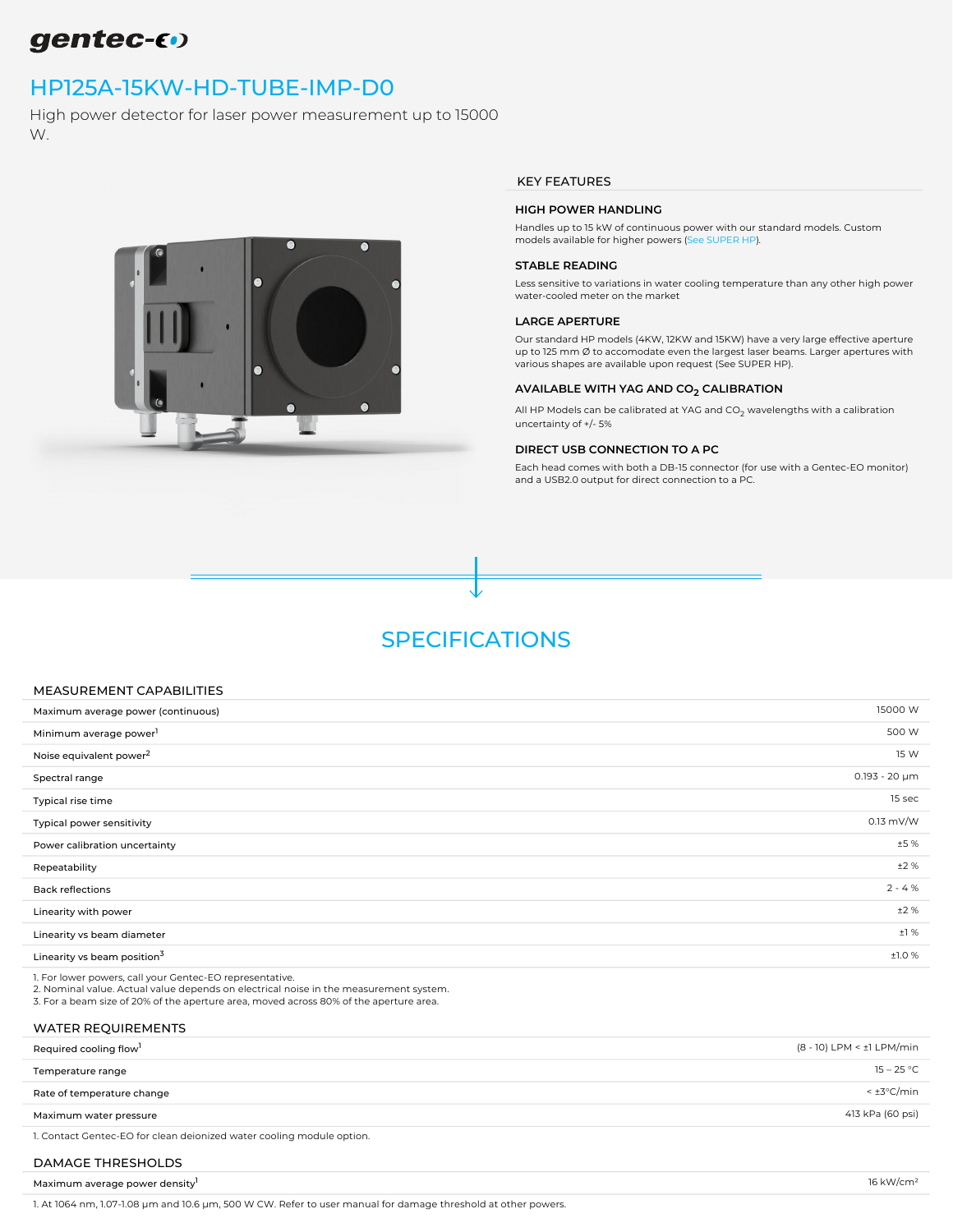# gentec-60

## [HP125A-15KW-HD-TUBE-IMP-D0](https://www.gentec-eo.com/products/hp125a-15kw-hd-tube-imp-d0)

High power detector for laser power measurement up to 15000 W.



## KEY FEATURES

### HIGH POWER HANDLING

Handles up to 15 kW of continuous power with our standard models. Custom models available for higher powers ([See SUPER HP\)](https://www.gentec-eo.com/search?filter=HP280A-30KW-HD,%20HP210A-25KW-HD&scope=products).

#### STABLE READING

Less sensitive to variations in water cooling temperature than any other high power water-cooled meter on the market

## LARGE APERTURE

Our standard HP models (4KW, 12KW and 15KW) have a very large effective aperture up to 125 mm  $\emptyset$  to accomodate even the largest laser beams. Larger apertures with various shapes are available upon request (See SUPER HP).

## AVAILABLE WITH YAG AND CO<sub>2</sub> CALIBRATION

All HP Models can be calibrated at YAG and CO $_2$  wavelengths with a calibration uncertainty of +/- 5%

#### DIRECT USB CONNECTION TO A PC

Each head comes with both a DB-15 connector (for use with a Gentec-EO monitor) and a USB2.0 output for direct connection to a PC.

## SPECIFICATIONS

## MEASUREMENT CAPABILITIES

| Maximum average power (continuous)      | 15000 W            |
|-----------------------------------------|--------------------|
| Minimum average power <sup>1</sup>      | 500 W              |
| Noise equivalent power <sup>2</sup>     | 15 W               |
| Spectral range                          | $0.193 - 20 \mu m$ |
| Typical rise time                       | 15 sec             |
| Typical power sensitivity               | $0.13$ mV/W        |
| Power calibration uncertainty           | ±5%                |
| Repeatability                           | ±2%                |
| <b>Back reflections</b>                 | $2 - 4 %$          |
| Linearity with power                    | ±2%                |
| Linearity vs beam diameter              | ±1%                |
| Linearity vs beam position <sup>3</sup> | ±1.0%              |
|                                         |                    |

1. For lower powers, call your Gentec-EO representative.

2. Nominal value. Actual value depends on electrical noise in the measurement system.

3. For a beam size of 20% of the aperture area, moved across 80% of the aperture area.

## WATER REQUIREMENTS

| Required cooling flow <sup>1</sup>                                          | (8 - 10) LPM < ±1 LPM/min |
|-----------------------------------------------------------------------------|---------------------------|
| Temperature range                                                           | 15 – 25 °C                |
| Rate of temperature change                                                  | < ±3°C/min                |
| Maximum water pressure                                                      | 413 kPa (60 psi)          |
| . 1. Cantant Cantan, FO fee elementary description and the mondella antique |                           |

1. Contact Gentec-EO for clean deionized water cooling module option.

## DAMAGE THRESHOLDS

Maximum average power density<sup>1</sup> and the set of the set of the set of the set of the set of the set of the set of the set of the set of the set of the set of the set of the set of the set of the set of the set of the set